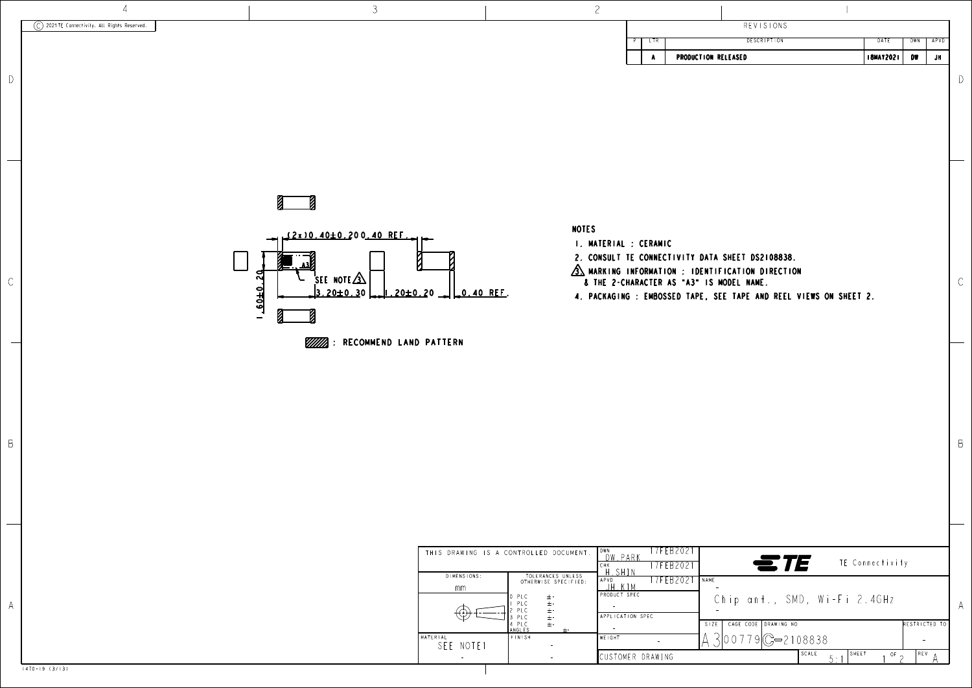

A

 $\frac{1}{\sqrt{2\pi}}\int_{0}^{\pi}\frac{1}{\sqrt{2\pi}}\left( \frac{1}{\sqrt{2\pi}}\right) ^{2}d\mu d\nu$ 

|                                                                                      |                                                         |                                                                                                               | L                                                                                                                                     |          |                                                                                                                                                                                                                               |                                               |                                                         |            |
|--------------------------------------------------------------------------------------|---------------------------------------------------------|---------------------------------------------------------------------------------------------------------------|---------------------------------------------------------------------------------------------------------------------------------------|----------|-------------------------------------------------------------------------------------------------------------------------------------------------------------------------------------------------------------------------------|-----------------------------------------------|---------------------------------------------------------|------------|
|                                                                                      |                                                         |                                                                                                               |                                                                                                                                       |          | <b>REVISIONS</b>                                                                                                                                                                                                              |                                               |                                                         |            |
|                                                                                      |                                                         |                                                                                                               |                                                                                                                                       | LTR<br>٨ | <b>DESCRIPTION</b><br>PRODUCTION RELEASED                                                                                                                                                                                     | DATE<br><b>ISMAY2021</b>                      | <b>DWN</b><br>DW                                        | APVD<br>JH |
|                                                                                      |                                                         |                                                                                                               |                                                                                                                                       |          |                                                                                                                                                                                                                               |                                               |                                                         |            |
| $20 -$<br>0.40 REF.                                                                  |                                                         | <b>NOTES</b>                                                                                                  | I. MATERIAL : CERAMIC                                                                                                                 |          | 2. CONSULT TE CONNECTIVITY DATA SHEET DS2108838.<br>$\sqrt{3}$ MARKING INFORMATION : IDENTIFICATION DIRECTION<br>& THE 2-CHARACTER AS "A3" IS MODEL NAME.<br>4. PACKAGING: EMBOSSED TAPE, SEE TAPE AND REEL VIEWS ON SHEET 2. |                                               |                                                         |            |
| <b>D PATTERN</b>                                                                     |                                                         |                                                                                                               |                                                                                                                                       |          |                                                                                                                                                                                                                               |                                               |                                                         |            |
| THIS DRAWING IS A CONTROLLED DOCUMENT.<br>DIMENSIONS:<br>mm<br>MATERIAL<br>SEE NOTE1 | 0 PLC<br>PLC<br>PLC<br>PLC<br>4 PLC<br>ANGLES<br>FINISH | TOLERANCES UNLESS<br>OTHERWISE SPECIFIED:<br>$\pm$ -<br>$\pm\cdot$<br>$\pm \frac{1}{2}$<br>$\pm$ -<br>$\pm$ - | DWN<br>DW PARK<br>CHK<br>H. SHIN<br>APVD<br>JH.KIM<br>PRODUCT SPEC<br>$\sim$<br>APPLICATION SPEC<br><b>WEIGHT</b><br>CUSTOMER DRAWING | $\sim$   | 17FEB2021<br>ETE<br>17FEB2021<br>17FEB2021<br>NAME<br>Chip ant., SMD, Wi-Fi 2.4GHz<br>CAGE CODE DRAWING NO<br>SIZE<br>$300779C - 2108838$<br>SCALE<br>5:1                                                                     | TE Connectivity<br>SHEET<br>$\overline{or}$ 2 | RESTRICTED TO<br>$\overline{\phantom{a}}$<br><b>REV</b> |            |

1470-19 (3/13)